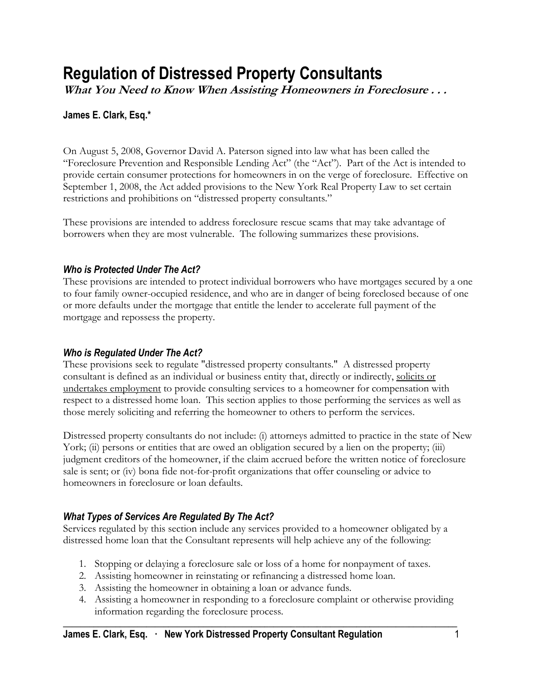# **Regulation of Distressed Property Consultants**

**What You Need to Know When Assisting Homeowners in Foreclosure . . .**

## **James E. Clark, Esq.\***

On August 5, 2008, Governor David A. Paterson signed into law what has been called the "Foreclosure Prevention and Responsible Lending Act" (the "Act"). Part of the Act is intended to provide certain consumer protections for homeowners in on the verge of foreclosure. Effective on September 1, 2008, the Act added provisions to the New York Real Property Law to set certain restrictions and prohibitions on "distressed property consultants."

These provisions are intended to address foreclosure rescue scams that may take advantage of borrowers when they are most vulnerable. The following summarizes these provisions.

## *Who is Protected Under The Act?*

These provisions are intended to protect individual borrowers who have mortgages secured by a one to four family owner-occupied residence, and who are in danger of being foreclosed because of one or more defaults under the mortgage that entitle the lender to accelerate full payment of the mortgage and repossess the property.

## *Who is Regulated Under The Act?*

These provisions seek to regulate "distressed property consultants." A distressed property consultant is defined as an individual or business entity that, directly or indirectly, solicits or undertakes employment to provide consulting services to a homeowner for compensation with respect to a distressed home loan. This section applies to those performing the services as well as those merely soliciting and referring the homeowner to others to perform the services.

Distressed property consultants do not include: (i) attorneys admitted to practice in the state of New York; (ii) persons or entities that are owed an obligation secured by a lien on the property; (iii) judgment creditors of the homeowner, if the claim accrued before the written notice of foreclosure sale is sent; or (iv) bona fide not-for-profit organizations that offer counseling or advice to homeowners in foreclosure or loan defaults.

# *What Types of Services Are Regulated By The Act?*

Services regulated by this section include any services provided to a homeowner obligated by a distressed home loan that the Consultant represents will help achieve any of the following:

- 1. Stopping or delaying a foreclosure sale or loss of a home for nonpayment of taxes.
- 2. Assisting homeowner in reinstating or refinancing a distressed home loan.
- 3. Assisting the homeowner in obtaining a loan or advance funds.
- 4. Assisting a homeowner in responding to a foreclosure complaint or otherwise providing information regarding the foreclosure process.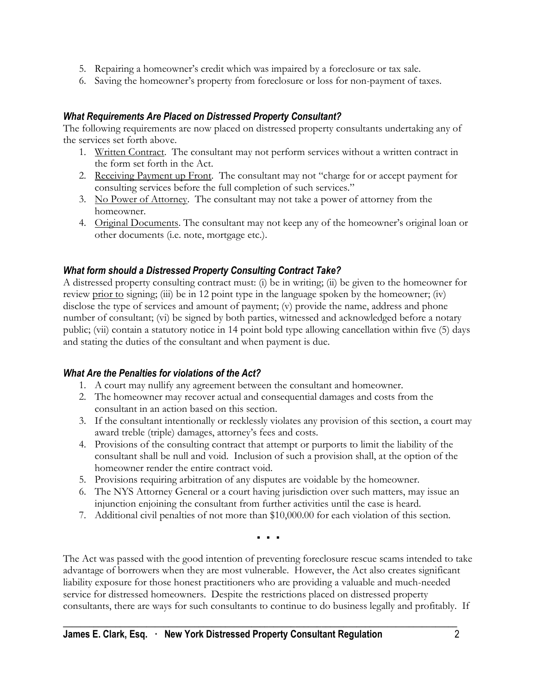- 5. Repairing a homeowner's credit which was impaired by a foreclosure or tax sale.
- 6. Saving the homeowner's property from foreclosure or loss for non-payment of taxes.

#### *What Requirements Are Placed on Distressed Property Consultant?*

The following requirements are now placed on distressed property consultants undertaking any of the services set forth above.

- 1. Written Contract. The consultant may not perform services without a written contract in the form set forth in the Act.
- 2. Receiving Payment up Front. The consultant may not "charge for or accept payment for consulting services before the full completion of such services."
- 3. No Power of Attorney. The consultant may not take a power of attorney from the homeowner.
- 4. Original Documents. The consultant may not keep any of the homeowner's original loan or other documents (i.e. note, mortgage etc.).

### *What form should a Distressed Property Consulting Contract Take?*

A distressed property consulting contract must: (i) be in writing; (ii) be given to the homeowner for review prior to signing; (iii) be in 12 point type in the language spoken by the homeowner; (iv) disclose the type of services and amount of payment; (v) provide the name, address and phone number of consultant; (vi) be signed by both parties, witnessed and acknowledged before a notary public; (vii) contain a statutory notice in 14 point bold type allowing cancellation within five (5) days and stating the duties of the consultant and when payment is due.

#### *What Are the Penalties for violations of the Act?*

- 1. A court may nullify any agreement between the consultant and homeowner.
- 2. The homeowner may recover actual and consequential damages and costs from the consultant in an action based on this section.
- 3. If the consultant intentionally or recklessly violates any provision of this section, a court may award treble (triple) damages, attorney's fees and costs.
- 4. Provisions of the consulting contract that attempt or purports to limit the liability of the consultant shall be null and void. Inclusion of such a provision shall, at the option of the homeowner render the entire contract void.
- 5. Provisions requiring arbitration of any disputes are voidable by the homeowner.
- 6. The NYS Attorney General or a court having jurisdiction over such matters, may issue an injunction enjoining the consultant from further activities until the case is heard.
- 7. Additional civil penalties of not more than \$10,000.00 for each violation of this section.

▪ ▪ ▪

The Act was passed with the good intention of preventing foreclosure rescue scams intended to take advantage of borrowers when they are most vulnerable. However, the Act also creates significant liability exposure for those honest practitioners who are providing a valuable and much-needed service for distressed homeowners. Despite the restrictions placed on distressed property consultants, there are ways for such consultants to continue to do business legally and profitably. If

**\_\_\_\_\_\_\_\_\_\_\_\_\_\_\_\_\_\_\_\_\_\_\_\_\_\_\_\_\_\_\_\_\_\_\_\_\_\_\_\_\_\_\_\_\_\_\_\_\_\_\_\_\_\_\_\_\_\_\_\_\_\_\_\_\_\_\_\_\_\_\_\_\_\_\_\_\_\_\_\_\_\_\_\_\_\_\_\_\_\_**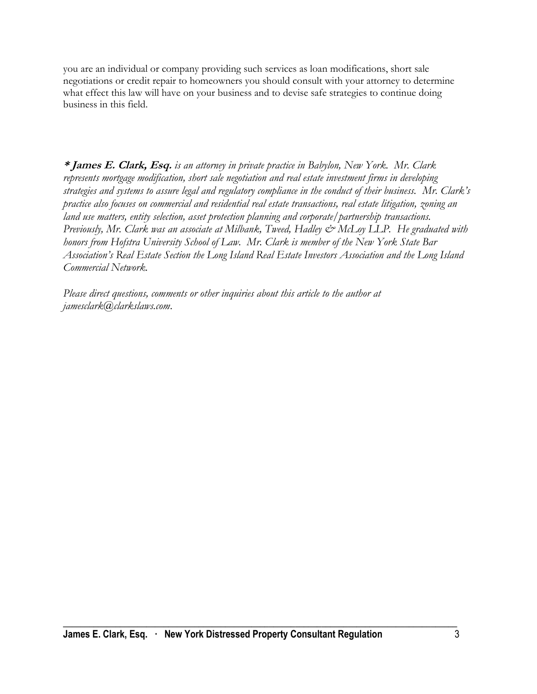you are an individual or company providing such services as loan modifications, short sale negotiations or credit repair to homeowners you should consult with your attorney to determine what effect this law will have on your business and to devise safe strategies to continue doing business in this field.

**\* James E. Clark, Esq.** *is an attorney in private practice in Babylon, New York. Mr. Clark represents mortgage modification, short sale negotiation and real estate investment firms in developing strategies and systems to assure legal and regulatory compliance in the conduct of their business. Mr. Clark's practice also focuses on commercial and residential real estate transactions, real estate litigation, zoning an land use matters, entity selection, asset protection planning and corporate/partnership transactions. Previously, Mr. Clark was an associate at Milbank, Tweed, Hadley & McLoy LLP. He graduated with honors from Hofstra University School of Law. Mr. Clark is member of the New York State Bar Association's Real Estate Section the Long Island Real Estate Investors Association and the Long Island Commercial Network.*

*Please direct questions, comments or other inquiries about this article to the author at jamesclark@clarkslaws.com.*

**\_\_\_\_\_\_\_\_\_\_\_\_\_\_\_\_\_\_\_\_\_\_\_\_\_\_\_\_\_\_\_\_\_\_\_\_\_\_\_\_\_\_\_\_\_\_\_\_\_\_\_\_\_\_\_\_\_\_\_\_\_\_\_\_\_\_\_\_\_\_\_\_\_\_\_\_\_\_\_\_\_\_\_\_\_\_\_\_\_\_**